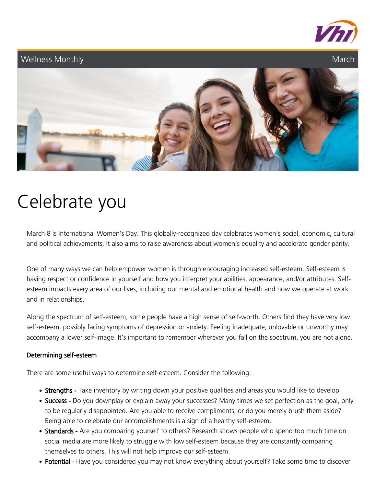

### Wellness Monthly **Marchael Communist Communist Communist Communist Communist Communist Communist Communist Communist Communist Communist Communist Communist Communist Communist Communist Communist Communist Communist Commu**



# Celebrate you

March 8 is International Women's Day. This globally-recognized day celebrates women's social, economic, cultural and political achievements. It also aims to raise awareness about women's equality and accelerate gender parity.

One of many ways we can help empower women is through encouraging increased self-esteem. Self-esteem is having respect or confidence in yourself and how you interpret your abilities, appearance, and/or attributes. Selfesteem impacts every area of our lives, including our mental and emotional health and how we operate at work and in relationships.

Along the spectrum of self-esteem, some people have a high sense of self-worth. Others find they have very low self-esteem, possibly facing symptoms of depression or anxiety. Feeling inadequate, unlovable or unworthy may accompany a lower self-image. It's important to remember wherever you fall on the spectrum, you are not alone.

### Determining self-esteem

There are some useful ways to determine self-esteem. Consider the following:

- Strengths Take inventory by writing down your positive qualities and areas you would like to develop.
- Success Do you downplay or explain away your successes? Many times we set perfection as the goal, only to be regularly disappointed. Are you able to receive compliments, or do you merely brush them aside? Being able to celebrate our accomplishments is a sign of a healthy self-esteem.
- Standards Are you comparing yourself to others? Research shows people who spend too much time on social media are more likely to struggle with low self-esteem because they are constantly comparing themselves to others. This will not help improve our self-esteem.
- Potential Have you considered you may not know everything about yourself? Take some time to discover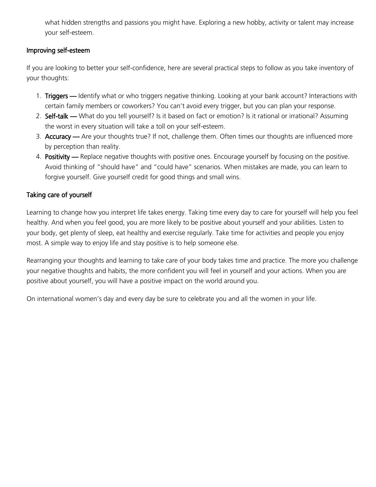what hidden strengths and passions you might have. Exploring a new hobby, activity or talent may increase your self-esteem.

#### Improving self-esteem

If you are looking to better your self-confidence, here are several practical steps to follow as you take inventory of your thoughts:

- 1. Triggers Identify what or who triggers negative thinking. Looking at your bank account? Interactions with certain family members or coworkers? You can't avoid every trigger, but you can plan your response.
- 2. Self-talk What do you tell yourself? Is it based on fact or emotion? Is it rational or irrational? Assuming the worst in every situation will take a toll on your self-esteem.
- 3. Accuracy Are your thoughts true? If not, challenge them. Often times our thoughts are influenced more by perception than reality.
- 4. Positivity Replace negative thoughts with positive ones. Encourage yourself by focusing on the positive. Avoid thinking of "should have" and "could have" scenarios. When mistakes are made, you can learn to forgive yourself. Give yourself credit for good things and small wins.

### Taking care of yourself

Learning to change how you interpret life takes energy. Taking time every day to care for yourself will help you feel healthy. And when you feel good, you are more likely to be positive about yourself and your abilities. Listen to your body, get plenty of sleep, eat healthy and exercise regularly. Take time for activities and people you enjoy most. A simple way to enjoy life and stay positive is to help someone else.

Rearranging your thoughts and learning to take care of your body takes time and practice. The more you challenge your negative thoughts and habits, the more confident you will feel in yourself and your actions. When you are positive about yourself, you will have a positive impact on the world around you.

On international women's day and every day be sure to celebrate you and all the women in your life.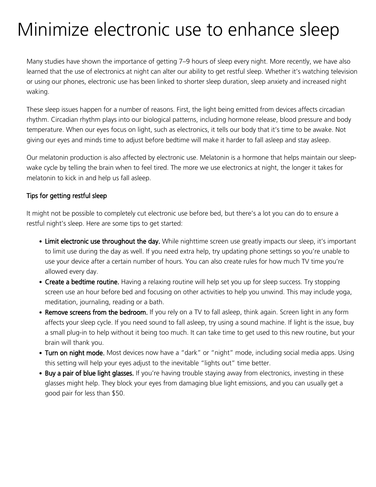# Minimize electronic use to enhance sleep

Many studies have shown the importance of getting 7–9 hours of sleep every night. More recently, we have also learned that the use of electronics at night can alter our ability to get restful sleep. Whether it's watching television or using our phones, electronic use has been linked to shorter sleep duration, sleep anxiety and increased night waking.

These sleep issues happen for a number of reasons. First, the light being emitted from devices affects circadian rhythm. Circadian rhythm plays into our biological patterns, including hormone release, blood pressure and body temperature. When our eyes focus on light, such as electronics, it tells our body that it's time to be awake. Not giving our eyes and minds time to adjust before bedtime will make it harder to fall asleep and stay asleep.

Our melatonin production is also affected by electronic use. Melatonin is a hormone that helps maintain our sleepwake cycle by telling the brain when to feel tired. The more we use electronics at night, the longer it takes for melatonin to kick in and help us fall asleep.

### Tips for getting restful sleep

It might not be possible to completely cut electronic use before bed, but there's a lot you can do to ensure a restful night's sleep. Here are some tips to get started:

- Limit electronic use throughout the day. While nighttime screen use greatly impacts our sleep, it's important to limit use during the day as well. If you need extra help, try updating phone settings so you're unable to use your device after a certain number of hours. You can also create rules for how much TV time you're allowed every day.
- Create a bedtime routine. Having a relaxing routine will help set you up for sleep success. Try stopping screen use an hour before bed and focusing on other activities to help you unwind. This may include yoga, meditation, journaling, reading or a bath.
- Remove screens from the bedroom. If you rely on a TV to fall asleep, think again. Screen light in any form affects your sleep cycle. If you need sound to fall asleep, try using a sound machine. If light is the issue, buy a small plug-in to help without it being too much. It can take time to get used to this new routine, but your brain will thank you.
- Turn on night mode. Most devices now have a "dark" or "night" mode, including social media apps. Using this setting will help your eyes adjust to the inevitable "lights out" time better.
- Buy a pair of blue light glasses. If you're having trouble staying away from electronics, investing in these glasses might help. They block your eyes from damaging blue light emissions, and you can usually get a good pair for less than \$50.